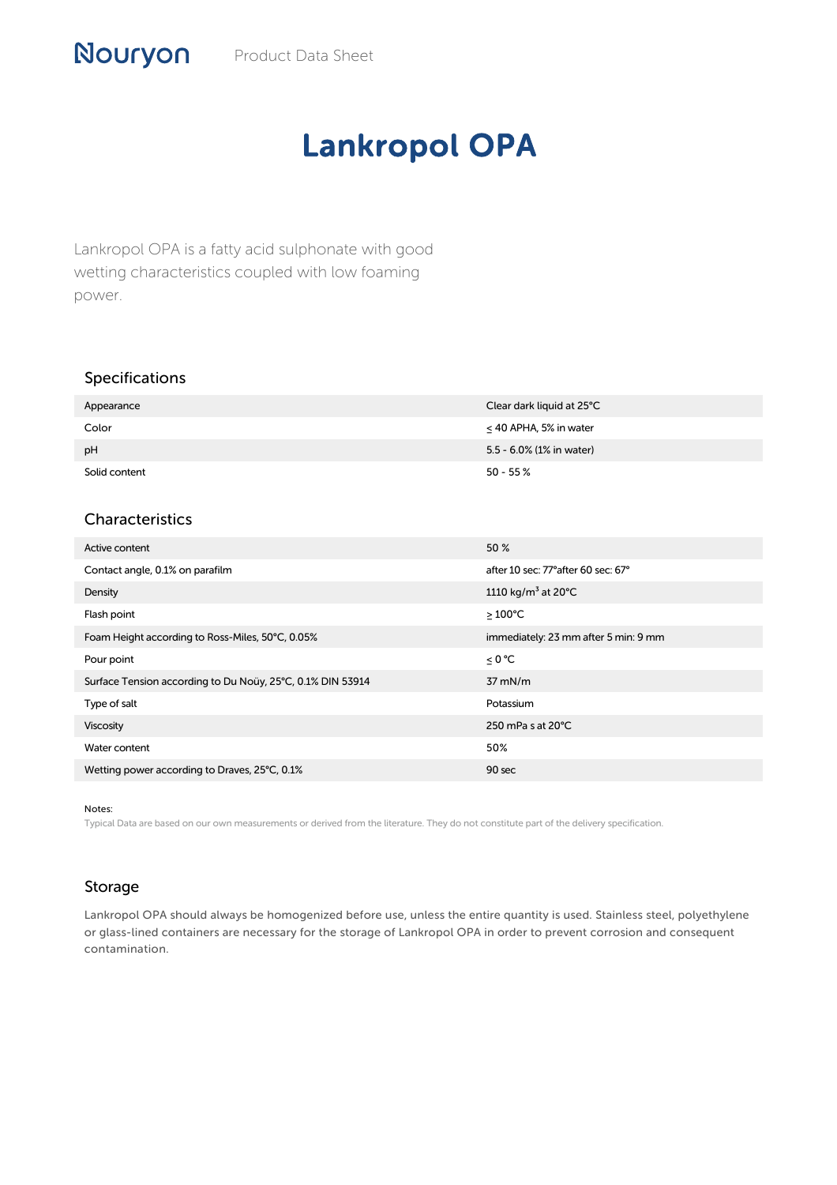## Lankropol OPA

Lankropol OPA is a fatty acid sulphonate with good wetting characteristics coupled with low foaming power.

## Specifications

| Appearance    | Clear dark liquid at 25°C   |
|---------------|-----------------------------|
| Color         | $\leq$ 40 APHA, 5% in water |
| pH            | 5.5 - 6.0% (1% in water)    |
| Solid content | $50 - 55 %$                 |

## Characteristics

| Active content                                             | 50 %                                      |
|------------------------------------------------------------|-------------------------------------------|
| Contact angle, 0.1% on parafilm                            | after 10 sec: 77° after 60 sec: 67°       |
| Density                                                    | 1110 kg/m <sup>3</sup> at 20 $^{\circ}$ C |
| Flash point                                                | $\geq$ 100°C                              |
| Foam Height according to Ross-Miles, 50°C, 0.05%           | immediately: 23 mm after 5 min: 9 mm      |
| Pour point                                                 | ≤ 0 °C                                    |
| Surface Tension according to Du Noüy, 25°C, 0.1% DIN 53914 | $37$ mN/m                                 |
| Type of salt                                               | Potassium                                 |
| Viscosity                                                  | 250 mPa s at $20^{\circ}$ C               |
| Water content                                              | 50%                                       |
| Wetting power according to Draves, 25°C, 0.1%              | 90 sec                                    |

Notes:

Typical Data are based on our own measurements or derived from the literature. They do not constitute part of the delivery specification.

## Storage

Lankropol OPA should always be homogenized before use, unless the entire quantity is used. Stainless steel, polyethylene or glass-lined containers are necessary for the storage of Lankropol OPA in order to prevent corrosion and consequent contamination.